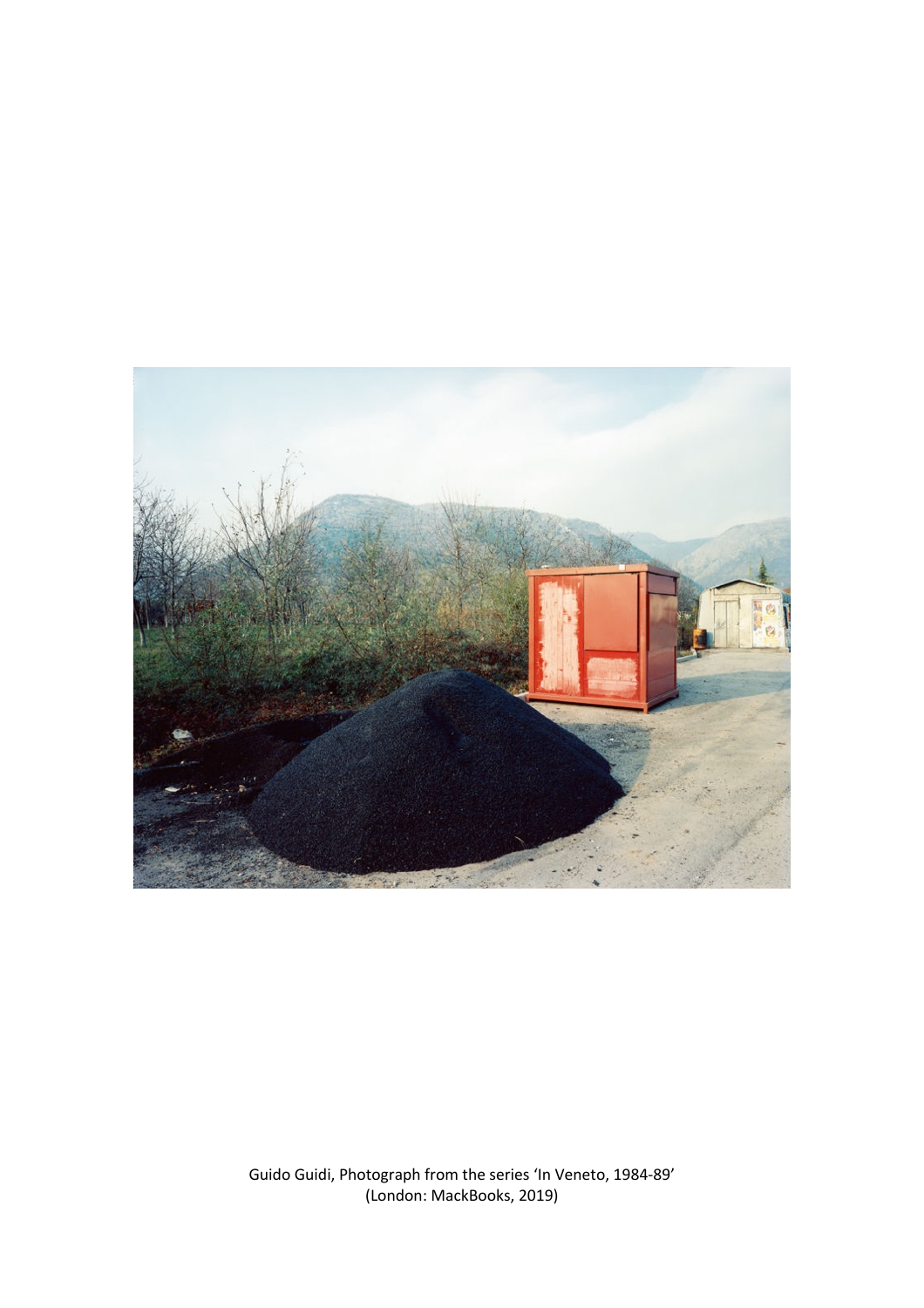

Guido Guidi, Photograph from the series 'In Veneto, 1984-89' (London: MackBooks, 2019)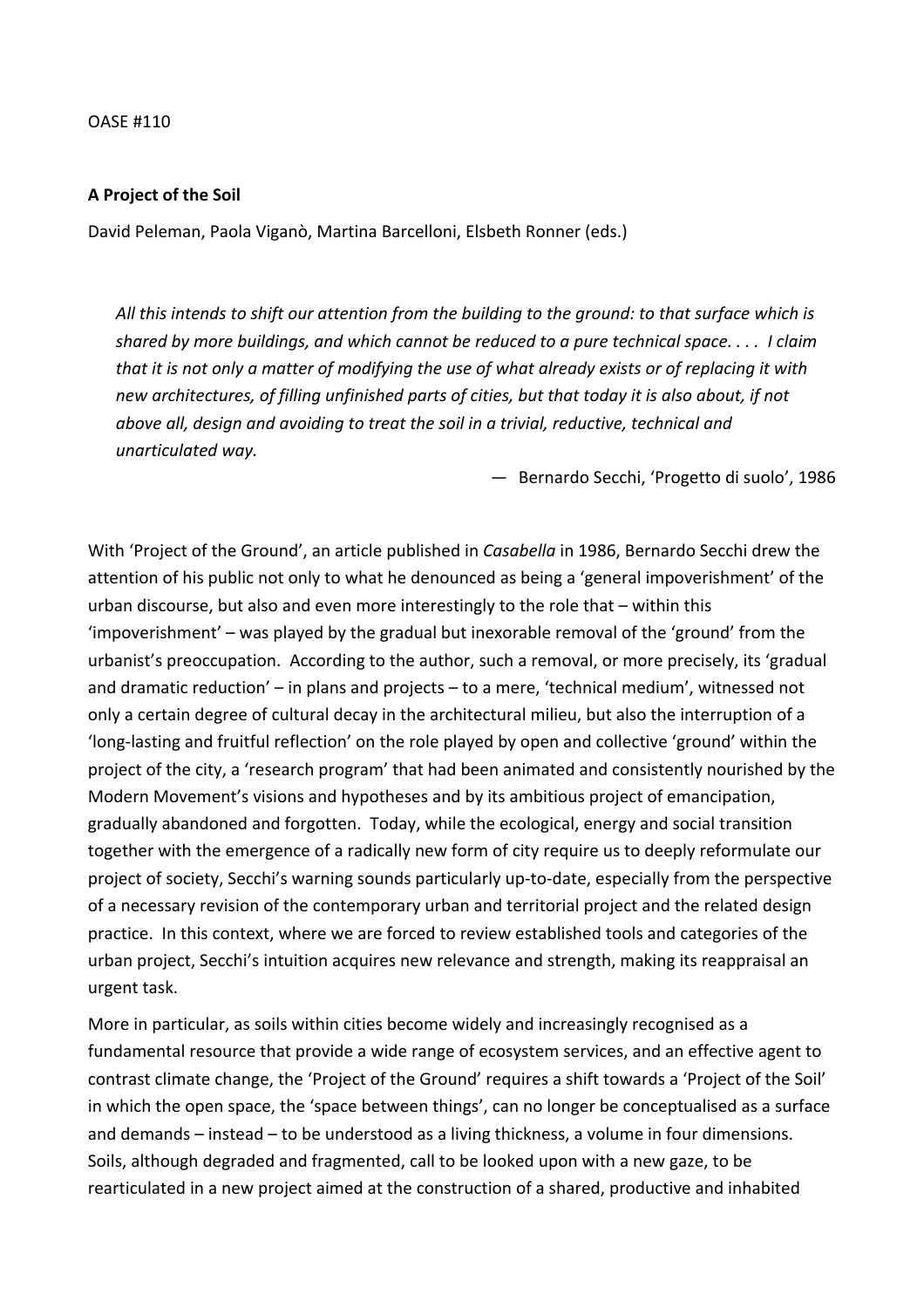## OASE #110

## **A Project of the Soil**

David Peleman, Paola Viganò, Martina Barcelloni, Elsbeth Ronner (eds.)

*All this intends to shift our attention from the building to the ground: to that surface which is shared by more buildings, and which cannot be reduced to a pure technical space. . . . I claim that it is not only a matter of modifying the use of what already exists or of replacing it with new architectures, of filling unfinished parts of cities, but that today it is also about, if not above all, design and avoiding to treat the soil in a trivial, reductive, technical and unarticulated way.*

— Bernardo Secchi, 'Progetto di suolo', 1986

With 'Project of the Ground', an article published in *Casabella* in 1986, Bernardo Secchi drew the attention of his public not only to what he denounced as being a 'general impoverishment' of the urban discourse, but also and even more interestingly to the role that – within this 'impoverishment' – was played by the gradual but inexorable removal of the 'ground' from the urbanist's preoccupation. According to the author, such a removal, or more precisely, its 'gradual and dramatic reduction' – in plans and projects – to a mere, 'technical medium', witnessed not only a certain degree of cultural decay in the architectural milieu, but also the interruption of a 'long-lasting and fruitful reflection' on the role played by open and collective 'ground' within the project of the city, a 'research program' that had been animated and consistently nourished by the Modern Movement's visions and hypotheses and by its ambitious project of emancipation, gradually abandoned and forgotten. Today, while the ecological, energy and social transition together with the emergence of a radically new form of city require us to deeply reformulate our project of society, Secchi's warning sounds particularly up-to-date, especially from the perspective of a necessary revision of the contemporary urban and territorial project and the related design practice. In this context, where we are forced to review established tools and categories of the urban project, Secchi's intuition acquires new relevance and strength, making its reappraisal an urgent task.

More in particular, as soils within cities become widely and increasingly recognised as a fundamental resource that provide a wide range of ecosystem services, and an effective agent to contrast climate change, the 'Project of the Ground' requires a shift towards a 'Project of the Soil' in which the open space, the 'space between things', can no longer be conceptualised as a surface and demands – instead – to be understood as a living thickness, a volume in four dimensions. Soils, although degraded and fragmented, call to be looked upon with a new gaze, to be rearticulated in a new project aimed at the construction of a shared, productive and inhabited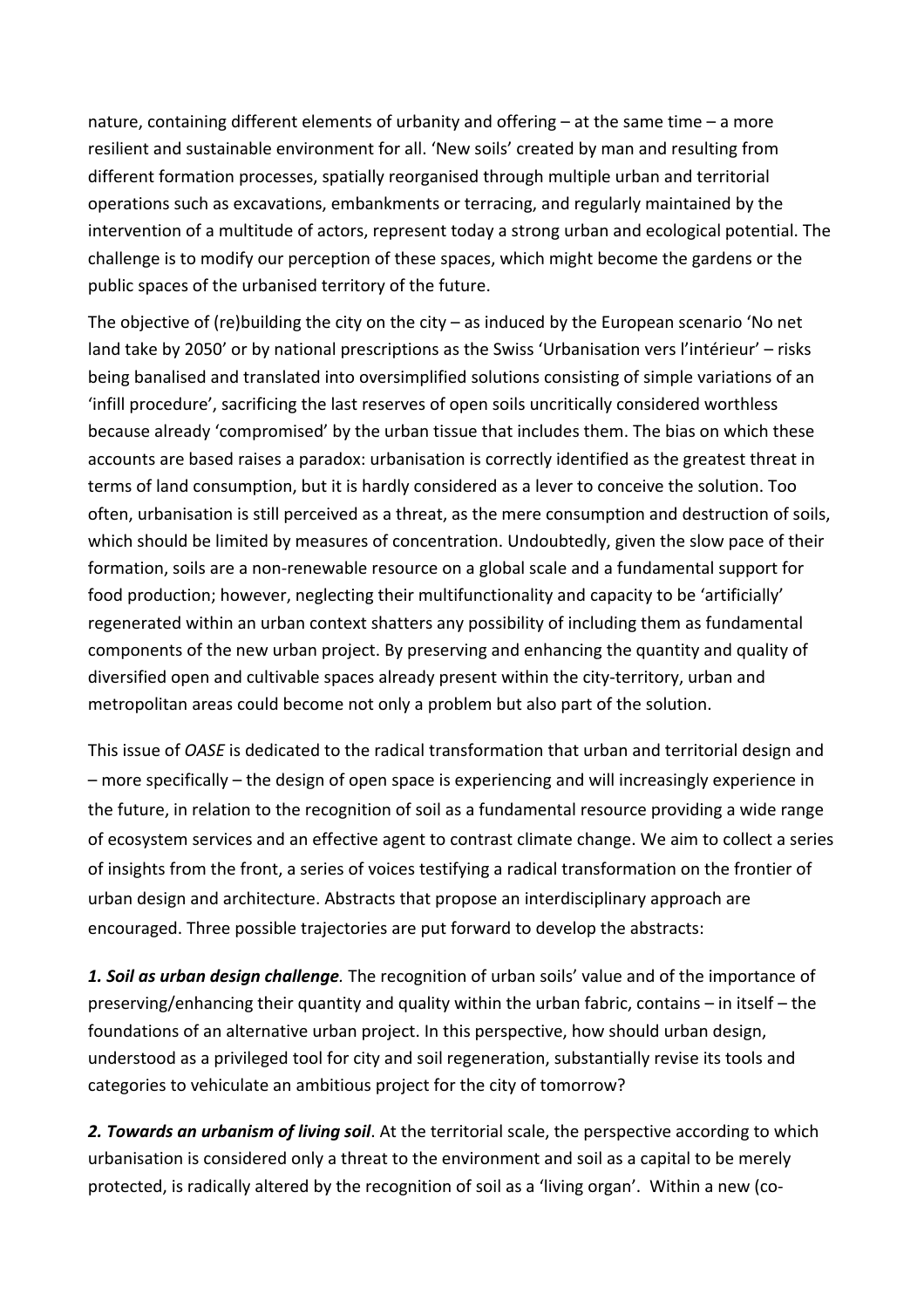nature, containing different elements of urbanity and offering – at the same time – a more resilient and sustainable environment for all. 'New soils' created by man and resulting from different formation processes, spatially reorganised through multiple urban and territorial operations such as excavations, embankments or terracing, and regularly maintained by the intervention of a multitude of actors, represent today a strong urban and ecological potential. The challenge is to modify our perception of these spaces, which might become the gardens or the public spaces of the urbanised territory of the future.

The objective of (re)building the city on the city – as induced by the European scenario 'No net land take by 2050' or by national prescriptions as the Swiss 'Urbanisation vers l'intérieur' – risks being banalised and translated into oversimplified solutions consisting of simple variations of an 'infill procedure', sacrificing the last reserves of open soils uncritically considered worthless because already 'compromised' by the urban tissue that includes them. The bias on which these accounts are based raises a paradox: urbanisation is correctly identified as the greatest threat in terms of land consumption, but it is hardly considered as a lever to conceive the solution. Too often, urbanisation is still perceived as a threat, as the mere consumption and destruction of soils, which should be limited by measures of concentration. Undoubtedly, given the slow pace of their formation, soils are a non-renewable resource on a global scale and a fundamental support for food production; however, neglecting their multifunctionality and capacity to be 'artificially' regenerated within an urban context shatters any possibility of including them as fundamental components of the new urban project. By preserving and enhancing the quantity and quality of diversified open and cultivable spaces already present within the city-territory, urban and metropolitan areas could become not only a problem but also part of the solution.

This issue of *OASE* is dedicated to the radical transformation that urban and territorial design and – more specifically – the design of open space is experiencing and will increasingly experience in the future, in relation to the recognition of soil as a fundamental resource providing a wide range of ecosystem services and an effective agent to contrast climate change. We aim to collect a series of insights from the front, a series of voices testifying a radical transformation on the frontier of urban design and architecture. Abstracts that propose an interdisciplinary approach are encouraged. Three possible trajectories are put forward to develop the abstracts:

*1. Soil as urban design challenge.* The recognition of urban soils' value and of the importance of preserving/enhancing their quantity and quality within the urban fabric, contains – in itself – the foundations of an alternative urban project. In this perspective, how should urban design, understood as a privileged tool for city and soil regeneration, substantially revise its tools and categories to vehiculate an ambitious project for the city of tomorrow?

*2. Towards an urbanism of living soil*. At the territorial scale, the perspective according to which urbanisation is considered only a threat to the environment and soil as a capital to be merely protected, is radically altered by the recognition of soil as a 'living organ'. Within a new (co-